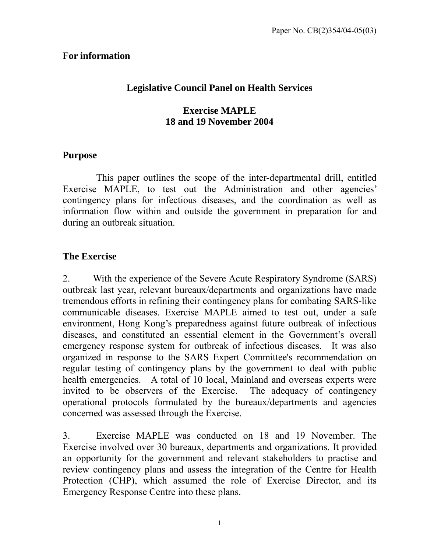# **For information**

# **Legislative Council Panel on Health Services**

# **Exercise MAPLE 18 and 19 November 2004**

## **Purpose**

This paper outlines the scope of the inter-departmental drill, entitled Exercise MAPLE, to test out the Administration and other agencies' contingency plans for infectious diseases, and the coordination as well as information flow within and outside the government in preparation for and during an outbreak situation.

# **The Exercise**

2. With the experience of the Severe Acute Respiratory Syndrome (SARS) outbreak last year, relevant bureaux/departments and organizations have made tremendous efforts in refining their contingency plans for combating SARS-like communicable diseases. Exercise MAPLE aimed to test out, under a safe environment, Hong Kong's preparedness against future outbreak of infectious diseases, and constituted an essential element in the Government's overall emergency response system for outbreak of infectious diseases. It was also organized in response to the SARS Expert Committee's recommendation on regular testing of contingency plans by the government to deal with public health emergencies. A total of 10 local, Mainland and overseas experts were invited to be observers of the Exercise. The adequacy of contingency operational protocols formulated by the bureaux/departments and agencies concerned was assessed through the Exercise.

3. Exercise MAPLE was conducted on 18 and 19 November. The Exercise involved over 30 bureaux, departments and organizations. It provided an opportunity for the government and relevant stakeholders to practise and review contingency plans and assess the integration of the Centre for Health Protection (CHP), which assumed the role of Exercise Director, and its Emergency Response Centre into these plans.

1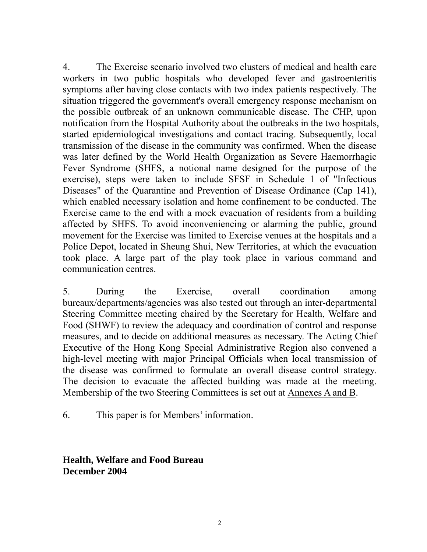4. The Exercise scenario involved two clusters of medical and health care workers in two public hospitals who developed fever and gastroenteritis symptoms after having close contacts with two index patients respectively. The situation triggered the government's overall emergency response mechanism on the possible outbreak of an unknown communicable disease. The CHP, upon notification from the Hospital Authority about the outbreaks in the two hospitals, started epidemiological investigations and contact tracing. Subsequently, local transmission of the disease in the community was confirmed. When the disease was later defined by the World Health Organization as Severe Haemorrhagic Fever Syndrome (SHFS, a notional name designed for the purpose of the exercise), steps were taken to include SFSF in Schedule 1 of "Infectious Diseases" of the Quarantine and Prevention of Disease Ordinance (Cap 141), which enabled necessary isolation and home confinement to be conducted. The Exercise came to the end with a mock evacuation of residents from a building affected by SHFS. To avoid inconveniencing or alarming the public, ground movement for the Exercise was limited to Exercise venues at the hospitals and a Police Depot, located in Sheung Shui, New Territories, at which the evacuation took place. A large part of the play took place in various command and communication centres.

5. During the Exercise, overall coordination among bureaux/departments/agencies was also tested out through an inter-departmental Steering Committee meeting chaired by the Secretary for Health, Welfare and Food (SHWF) to review the adequacy and coordination of control and response measures, and to decide on additional measures as necessary. The Acting Chief Executive of the Hong Kong Special Administrative Region also convened a high-level meeting with major Principal Officials when local transmission of the disease was confirmed to formulate an overall disease control strategy. The decision to evacuate the affected building was made at the meeting. Membership of the two Steering Committees is set out at Annexes A and B.

6. This paper is for Members' information.

**Health, Welfare and Food Bureau December 2004**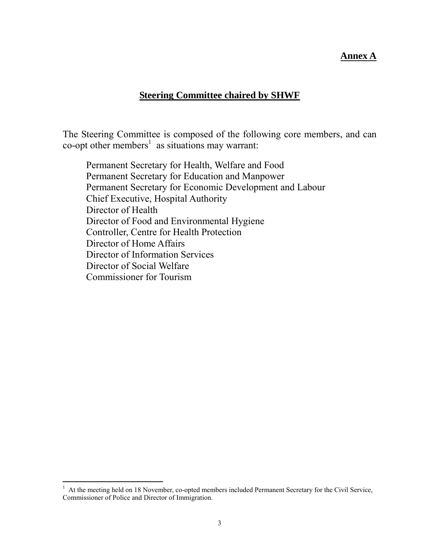#### **Annex A**

### **Steering Committee chaired by SHWF**

The Steering Committee is composed of the following core members, and can co-opt other members<sup>[1](#page-2-0)</sup> as situations may warrant:

Permanent Secretary for Health, Welfare and Food Permanent Secretary for Education and Manpower Permanent Secretary for Economic Development and Labour Chief Executive, Hospital Authority Director of Health Director of Food and Environmental Hygiene Controller, Centre for Health Protection Director of Home Affairs Director of Information Services Director of Social Welfare Commissioner for Tourism

 $\overline{a}$ 

<span id="page-2-0"></span> $1$  At the meeting held on 18 November, co-opted members included Permanent Secretary for the Civil Service, Commissioner of Police and Director of Immigration.